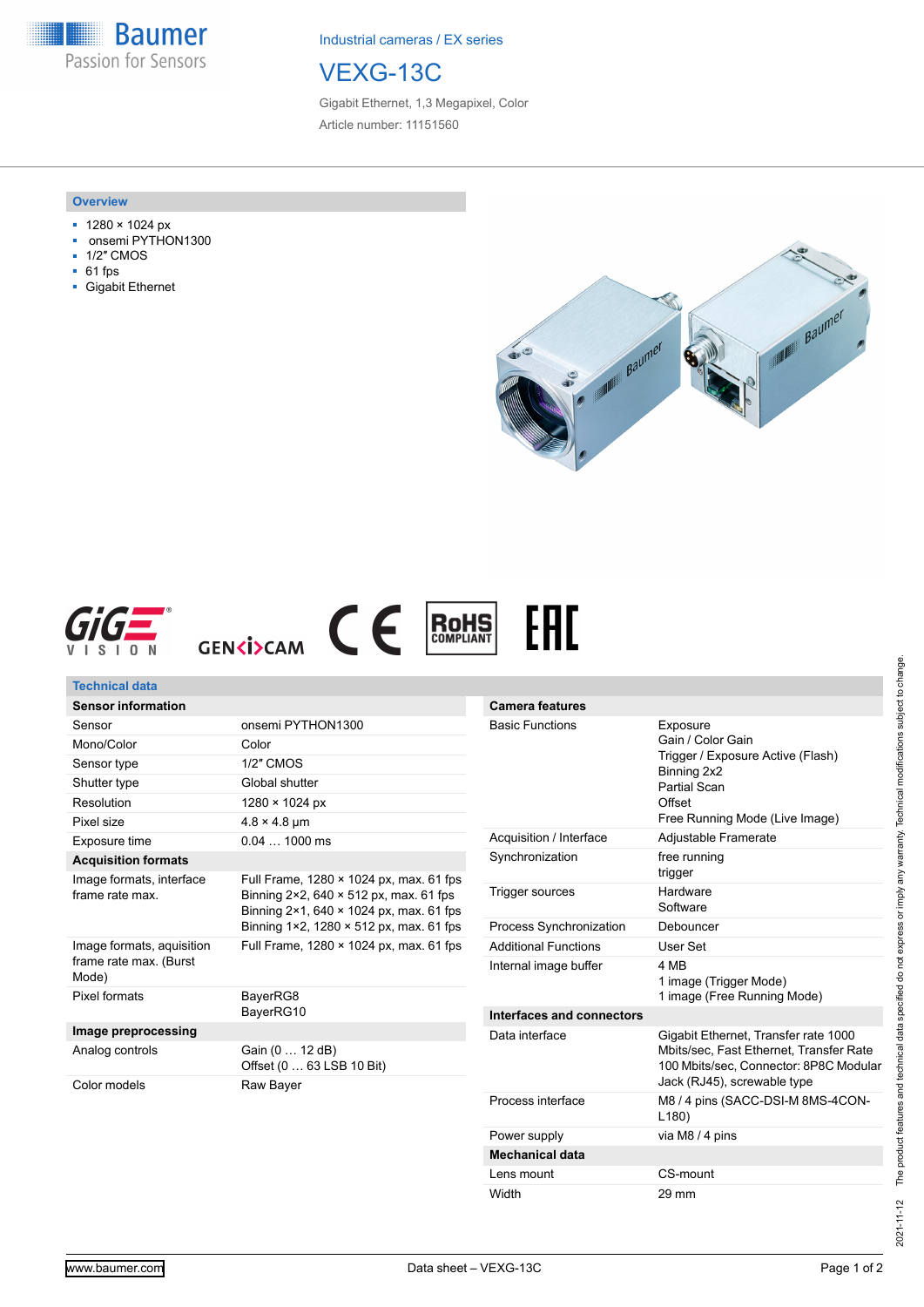**Baumer** Passion for Sensors

Industrial cameras / EX series



Gigabit Ethernet, 1,3 Megapixel, Color Article number: 11151560

### **Overview**

- 1280 × 1024 px
- onsemi PYTHON1300
- 1/2″ CMOS
- 61 fps
- Gigabit Ethernet







| Technical data                              |                                                                                                                                                                                                          |                                             |                                                                                                                    |
|---------------------------------------------|----------------------------------------------------------------------------------------------------------------------------------------------------------------------------------------------------------|---------------------------------------------|--------------------------------------------------------------------------------------------------------------------|
| <b>Sensor information</b>                   |                                                                                                                                                                                                          | <b>Camera features</b>                      |                                                                                                                    |
| Sensor                                      | onsemi PYTHON1300                                                                                                                                                                                        | <b>Basic Functions</b>                      | Exposure<br>Gain / Color Gain<br>Trigger / Exposure Active (Flash)<br>Binning 2x2<br><b>Partial Scan</b><br>Offset |
| Mono/Color                                  | Color                                                                                                                                                                                                    |                                             |                                                                                                                    |
| Sensor type                                 | 1/2" CMOS                                                                                                                                                                                                |                                             |                                                                                                                    |
| Shutter type                                | Global shutter                                                                                                                                                                                           |                                             |                                                                                                                    |
| Resolution                                  | 1280 × 1024 px                                                                                                                                                                                           |                                             |                                                                                                                    |
| Pixel size                                  | $4.8 \times 4.8$ µm                                                                                                                                                                                      |                                             | Free Running Mode (Live Image)                                                                                     |
| Exposure time                               | $0.041000$ ms                                                                                                                                                                                            | Acquisition / Interface                     | Adjustable Framerate                                                                                               |
| <b>Acquisition formats</b>                  |                                                                                                                                                                                                          | Synchronization                             | free running<br>trigger                                                                                            |
| Image formats, interface<br>frame rate max. | Full Frame, 1280 × 1024 px, max. 61 fps<br>Binning $2 \times 2$ , 640 $\times$ 512 px, max. 61 fps<br>Binning 2×1, 640 × 1024 px, max, 61 fps<br>Binning $1\times 2$ , 1280 $\times$ 512 px, max. 61 fps | Trigger sources                             | Hardware<br>Software                                                                                               |
|                                             |                                                                                                                                                                                                          | Process Synchronization                     | Debouncer                                                                                                          |
| Image formats, aquisition                   | Full Frame, 1280 × 1024 px, max. 61 fps                                                                                                                                                                  | <b>Additional Functions</b>                 | User Set                                                                                                           |
| frame rate max. (Burst<br>Mode)             |                                                                                                                                                                                                          | Internal image buffer                       | 4 MB<br>1 image (Trigger Mode)                                                                                     |
| Pixel formats<br>BayerRG8                   |                                                                                                                                                                                                          | 1 image (Free Running Mode)                 |                                                                                                                    |
|                                             | BayerRG10                                                                                                                                                                                                | Interfaces and connectors<br>Data interface |                                                                                                                    |
|                                             | Image preprocessing                                                                                                                                                                                      |                                             | Gigabit Ethernet, Transfer rate 1000                                                                               |
| Analog controls                             | Gain (0  12 dB)<br>Offset (0  63 LSB 10 Bit)                                                                                                                                                             |                                             | Mbits/sec, Fast Ethernet, Transfer Rate<br>100 Mbits/sec, Connector: 8P8C Modular                                  |
| Color models                                | Raw Bayer                                                                                                                                                                                                |                                             | Jack (RJ45), screwable type                                                                                        |
|                                             |                                                                                                                                                                                                          | Process interface                           | M8 / 4 pins (SACC-DSI-M 8MS-4CON-<br>L180                                                                          |
|                                             |                                                                                                                                                                                                          | Power supply                                | via M8 / 4 pins                                                                                                    |

The product features and technical data specified do not express or imply any warranty. Technical modifications subject to change. 2021-11-12 The product features and technical data specified do not express or imply any warranty. Technical modifications subject to change.  $2021 - 11 - 12$ 

**Mechanical data**

Lens mount CS-mount Width 29 mm